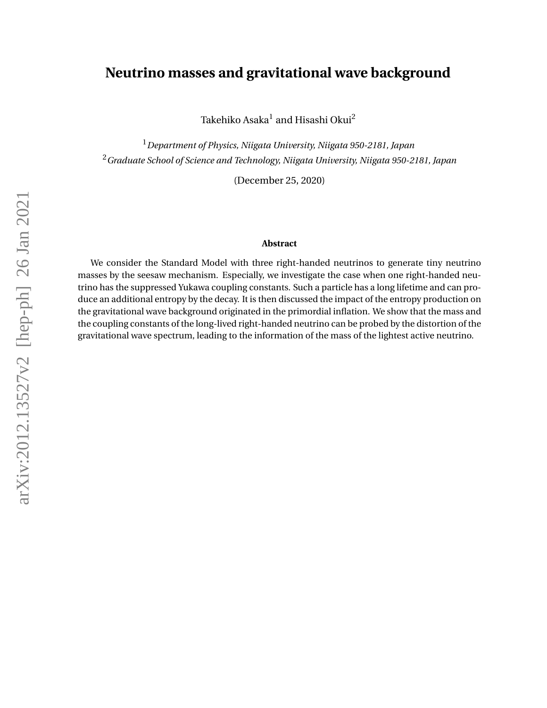## **Neutrino masses and gravitational wave background**

Takehiko Asaka $^{\rm l}$  and Hisashi Okui $^{\rm 2}$ 

<sup>1</sup>*Department of Physics, Niigata University, Niigata 950-2181, Japan* <sup>2</sup>*Graduate School of Science and Technology, Niigata University, Niigata 950-2181, Japan*

(December 25, 2020)

#### **Abstract**

We consider the Standard Model with three right-handed neutrinos to generate tiny neutrino masses by the seesaw mechanism. Especially, we investigate the case when one right-handed neutrino has the suppressed Yukawa coupling constants. Such a particle has a long lifetime and can produce an additional entropy by the decay. It is then discussed the impact of the entropy production on the gravitational wave background originated in the primordial inflation. We show that the mass and the coupling constants of the long-lived right-handed neutrino can be probed by the distortion of the gravitational wave spectrum, leading to the information of the mass of the lightest active neutrino.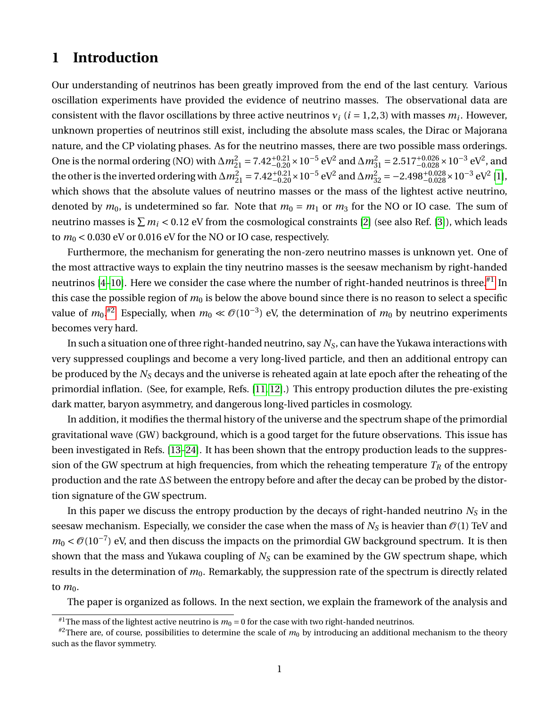# **1 Introduction**

Our understanding of neutrinos has been greatly improved from the end of the last century. Various oscillation experiments have provided the evidence of neutrino masses. The observational data are consistent with the flavor oscillations by three active neutrinos  $v_i$  ( $i = 1, 2, 3$ ) with masses  $m_i$ . However, unknown properties of neutrinos still exist, including the absolute mass scales, the Dirac or Majorana nature, and the CP violating phases. As for the neutrino masses, there are two possible mass orderings. One is the normal ordering (NO) with  $\Delta m_{21}^2 = 7.42^{+0.21}_{-0.20} \times 10^{-5}$  eV<sup>2</sup> and  $\Delta m_{31}^2 = 2.517^{+0.026}_{-0.028} \times 10^{-3}$  eV<sup>2</sup>, and the other is the inverted ordering with  $\Delta m^2_{21} = 7.42^{+0.21}_{-0.20} \times 10^{-5}$  eV<sup>2</sup> and  $\Delta m^2_{32} = -2.498^{+0.028}_{-0.028} \times 10^{-3}$  eV<sup>2</sup> [\[1\]](#page-8-0), which shows that the absolute values of neutrino masses or the mass of the lightest active neutrino, denoted by  $m_0$ , is undetermined so far. Note that  $m_0 = m_1$  or  $m_3$  for the NO or IO case. The sum of neutrino masses is  $\sum m_i$  < 0.12 eV from the cosmological constraints [\[2\]](#page-8-1) (see also Ref. [\[3\]](#page-8-2)), which leads to  $m_0$  < 0.030 eV or 0.016 eV for the NO or IO case, respectively.

Furthermore, the mechanism for generating the non-zero neutrino masses is unknown yet. One of the most attractive ways to explain the tiny neutrino masses is the seesaw mechanism by right-handed neutrinos  $[4-10]$  $[4-10]$ . Here we consider the case where the number of right-handed neutrinos is three.<sup>[#1](#page-1-0)</sup> In this case the possible region of  $m_0$  is below the above bound since there is no reason to select a specific value of  $m_0$ .<sup>[#2](#page-1-1)</sup> Especially, when  $m_0 \ll {\cal O}(10^{-3})$  eV, the determination of  $m_0$  by neutrino experiments becomes very hard.

In such a situation one of three right-handed neutrino, say *NS*, can have the Yukawa interactions with very suppressed couplings and become a very long-lived particle, and then an additional entropy can be produced by the *N<sup>S</sup>* decays and the universe is reheated again at late epoch after the reheating of the primordial inflation. (See, for example, Refs. [\[11,](#page-8-5) [12\]](#page-8-6).) This entropy production dilutes the pre-existing dark matter, baryon asymmetry, and dangerous long-lived particles in cosmology.

In addition, it modifies the thermal history of the universe and the spectrum shape of the primordial gravitational wave (GW) background, which is a good target for the future observations. This issue has been investigated in Refs. [\[13](#page-8-7)[–24\]](#page-9-0). It has been shown that the entropy production leads to the suppression of the GW spectrum at high frequencies, from which the reheating temperature  $T_R$  of the entropy production and the rate ∆*S* between the entropy before and after the decay can be probed by the distortion signature of the GW spectrum.

In this paper we discuss the entropy production by the decays of right-handed neutrino *N<sup>S</sup>* in the seesaw mechanism. Especially, we consider the case when the mass of  $N<sub>S</sub>$  is heavier than  $\mathcal{O}(1)$  TeV and  $m_0 < \mathcal{O}(10^{-7})$  eV, and then discuss the impacts on the primordial GW background spectrum. It is then shown that the mass and Yukawa coupling of *N<sup>S</sup>* can be examined by the GW spectrum shape, which results in the determination of  $m_0$ . Remarkably, the suppression rate of the spectrum is directly related to  $m_0$ .

The paper is organized as follows. In the next section, we explain the framework of the analysis and

<span id="page-1-1"></span><span id="page-1-0"></span><sup>&</sup>lt;sup>#1</sup>The mass of the lightest active neutrino is  $m_0 = 0$  for the case with two right-handed neutrinos.

 $^{#2}$ There are, of course, possibilities to determine the scale of  $m_0$  by introducing an additional mechanism to the theory such as the flavor symmetry.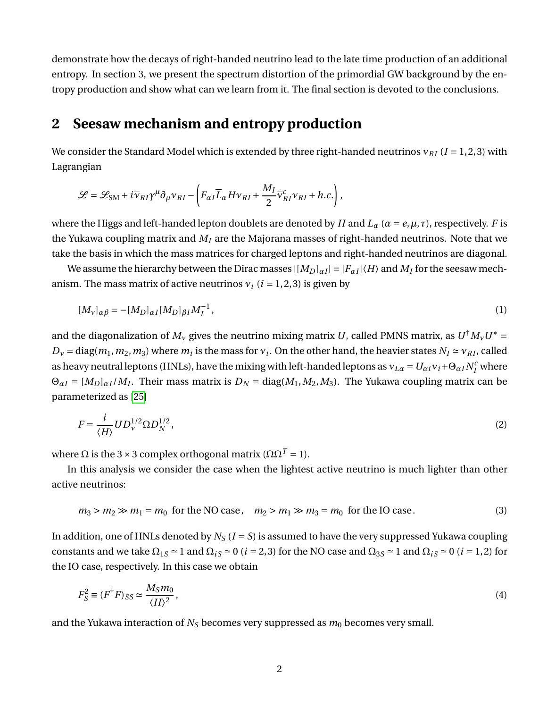demonstrate how the decays of right-handed neutrino lead to the late time production of an additional entropy. In section 3, we present the spectrum distortion of the primordial GW background by the entropy production and show what can we learn from it. The final section is devoted to the conclusions.

# **2 Seesaw mechanism and entropy production**

We consider the Standard Model which is extended by three right-handed neutrinos *ν*<sub>*RI*</sub> (*I* = 1, 2, 3) with Lagrangian

$$
\mathcal{L} = \mathcal{L}_{\text{SM}} + i \overline{\nu}_{RI} \gamma^{\mu} \partial_{\mu} \nu_{RI} - \left( F_{\alpha I} \overline{L}_{\alpha} H \nu_{RI} + \frac{M_I}{2} \overline{\nu}_{RI}^c \nu_{RI} + h.c. \right),
$$

where the Higgs and left-handed lepton doublets are denoted by *H* and  $L_\alpha$  ( $\alpha = e, \mu, \tau$ ), respectively. *F* is the Yukawa coupling matrix and *M<sup>I</sup>* are the Majorana masses of right-handed neutrinos. Note that we take the basis in which the mass matrices for charged leptons and right-handed neutrinos are diagonal.

We assume the hierarchy between the Dirac masses  $|(M_D]_{\alpha I}| = |F_{\alpha I}|\langle H\rangle$  and  $M_I$  for the seesaw mechanism. The mass matrix of active neutrinos  $v_i$  ( $i = 1, 2, 3$ ) is given by

$$
[M_V]_{\alpha\beta} = -[M_D]_{\alpha I} [M_D]_{\beta I} M_I^{-1},\tag{1}
$$

and the diagonalization of  $M_v$  gives the neutrino mixing matrix *U*, called PMNS matrix, as  $U^{\dagger}M_vU^*$  =  $D_v = \text{diag}(m_1, m_2, m_3)$  where  $m_i$  is the mass for  $v_i$ . On the other hand, the heavier states  $N_I \approx v_{RI}$ , called as heavy neutral leptons (HNLs), have the mixing with left-handed leptons as  $v_{L\alpha} = U_{\alpha i}v_i + \Theta_{\alpha I}N_I^c$  where  $\Theta_{\alpha I} = [M_D]_{\alpha I} / M_I$ . Their mass matrix is  $D_N = \text{diag}(M_1, M_2, M_3)$ . The Yukawa coupling matrix can be parameterized as [\[25\]](#page-9-1)

$$
F = \frac{i}{\langle H \rangle} U D_{\nu}^{1/2} \Omega D_N^{1/2},\tag{2}
$$

where  $\Omega$  is the 3 × 3 complex orthogonal matrix ( $\Omega \Omega^{T} = 1$ ).

In this analysis we consider the case when the lightest active neutrino is much lighter than other active neutrinos:

$$
m_3 > m_2 \gg m_1 = m_0 \text{ for the NO case}, \quad m_2 > m_1 \gg m_3 = m_0 \text{ for the IO case.}
$$
 (3)

In addition, one of HNLs denoted by  $N_S$  ( $I = S$ ) is assumed to have the very suppressed Yukawa coupling constants and we take  $\Omega_{1S} \simeq 1$  and  $\Omega_{iS} \simeq 0$  (*i* = 2, 3) for the NO case and  $\Omega_{3S} \simeq 1$  and  $\Omega_{iS} \simeq 0$  (*i* = 1, 2) for the IO case, respectively. In this case we obtain

<span id="page-2-0"></span>
$$
F_S^2 \equiv (F^{\dagger} F)_{SS} \simeq \frac{M_S m_0}{\langle H \rangle^2},\tag{4}
$$

and the Yukawa interaction of  $N_S$  becomes very suppressed as  $m_0$  becomes very small.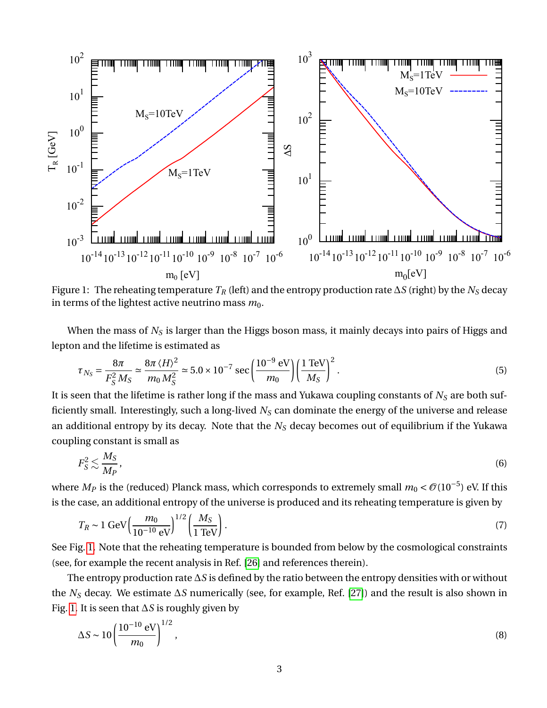

<span id="page-3-0"></span>Figure 1: The reheating temperature *T<sup>R</sup>* (left) and the entropy production rate ∆*S* (right) by the *N<sup>S</sup>* decay in terms of the lightest active neutrino mass  $m_0$ .

When the mass of *N<sup>S</sup>* is larger than the Higgs boson mass, it mainly decays into pairs of Higgs and lepton and the lifetime is estimated as

$$
\tau_{N_S} = \frac{8\pi}{F_S^2 M_S} \simeq \frac{8\pi \langle H \rangle^2}{m_0 M_S^2} \simeq 5.0 \times 10^{-7} \text{ sec} \left(\frac{10^{-9} \text{ eV}}{m_0}\right) \left(\frac{1 \text{ TeV}}{M_S}\right)^2.
$$
 (5)

It is seen that the lifetime is rather long if the mass and Yukawa coupling constants of *N<sup>S</sup>* are both sufficiently small. Interestingly, such a long-lived *N<sup>S</sup>* can dominate the energy of the universe and release an additional entropy by its decay. Note that the *N<sup>S</sup>* decay becomes out of equilibrium if the Yukawa coupling constant is small as

$$
F_S^2 \lesssim \frac{M_S}{M_P},\tag{6}
$$

where  $M_P$  is the (reduced) Planck mass, which corresponds to extremely small  $m_0 < \mathcal{O}(10^{-5})$  eV. If this is the case, an additional entropy of the universe is produced and its reheating temperature is given by

<span id="page-3-1"></span>
$$
T_R \sim 1 \text{ GeV} \left( \frac{m_0}{10^{-10} \text{ eV}} \right)^{1/2} \left( \frac{M_S}{1 \text{ TeV}} \right). \tag{7}
$$

See Fig. [1.](#page-3-0) Note that the reheating temperature is bounded from below by the cosmological constraints (see, for example the recent analysis in Ref. [\[26\]](#page-9-2) and references therein).

The entropy production rate ∆*S* is defined by the ratio between the entropy densities with or without the *N<sup>S</sup>* decay. We estimate ∆*S* numerically (see, for example, Ref. [\[27\]](#page-9-3)) and the result is also shown in Fig. [1.](#page-3-0) It is seen that ∆*S* is roughly given by

<span id="page-3-2"></span>
$$
\Delta S \sim 10 \left( \frac{10^{-10} \text{ eV}}{m_0} \right)^{1/2},\tag{8}
$$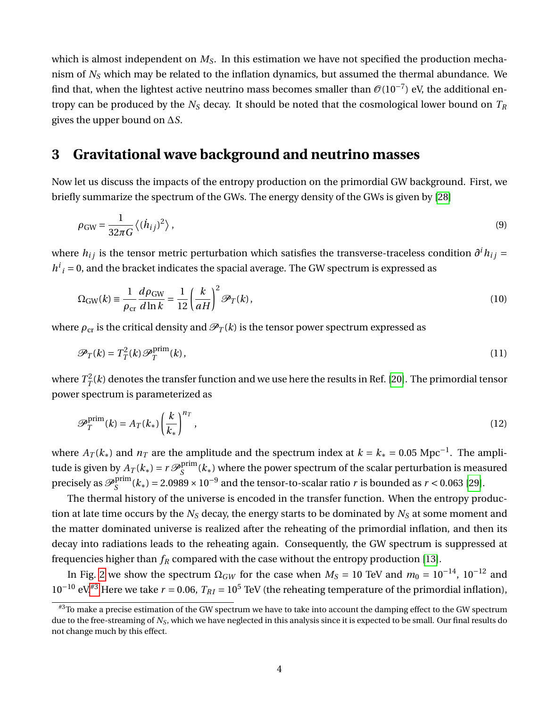which is almost independent on  $M<sub>S</sub>$ . In this estimation we have not specified the production mechanism of *N<sup>S</sup>* which may be related to the inflation dynamics, but assumed the thermal abundance. We find that, when the lightest active neutrino mass becomes smaller than  $\mathcal{O}(10^{-7})$  eV, the additional entropy can be produced by the *N<sup>S</sup>* decay. It should be noted that the cosmological lower bound on *T<sup>R</sup>* gives the upper bound on ∆*S*.

### **3 Gravitational wave background and neutrino masses**

Now let us discuss the impacts of the entropy production on the primordial GW background. First, we briefly summarize the spectrum of the GWs. The energy density of the GWs is given by [\[28\]](#page-9-4)

$$
\rho_{\rm GW} = \frac{1}{32\pi G} \langle (\dot{h}_{ij})^2 \rangle \,, \tag{9}
$$

where  $h_{ij}$  is the tensor metric perturbation which satisfies the transverse-traceless condition  $\partial^i h_{ij} =$  $h^i{}_i = 0$ , and the bracket indicates the spacial average. The GW spectrum is expressed as

$$
\Omega_{\rm GW}(k) \equiv \frac{1}{\rho_{\rm cr}} \frac{d\rho_{\rm GW}}{d\ln k} = \frac{1}{12} \left(\frac{k}{aH}\right)^2 \mathcal{P}_T(k),\tag{10}
$$

where  $\rho_{cr}$  is the critical density and  $\mathcal{P}_T(k)$  is the tensor power spectrum expressed as

$$
\mathcal{P}_T(k) = T_T^2(k)\mathcal{P}_T^{\text{prim}}(k),\tag{11}
$$

where  $T^2_T$  $T^2_{T}(k)$  denotes the transfer function and we use here the results in Ref. [\[20\]](#page-9-5). The primordial tensor power spectrum is parameterized as

$$
\mathscr{P}_T^{\text{prim}}(k) = A_T(k_*) \left(\frac{k}{k_*}\right)^{n_T},\tag{12}
$$

where  $A_T(k_*)$  and  $n_T$  are the amplitude and the spectrum index at  $k = k_* = 0.05 \text{ Mpc}^{-1}$ . The amplitude is given by  $A_T(k_*) = r \mathcal{P}_S^{\text{prim}}$  $S^{pnm}(k_*)$  where the power spectrum of the scalar perturbation is measured precisely as  ${\mathscr P}_{{\mathcal S}}^{\mathop{\rm prim}}$  $S_S^{\text{prim}}(k_*) = 2.0989 \times 10^{-9}$  and the tensor-to-scalar ratio *r* is bounded as *r* < 0.063 [\[29\]](#page-10-0).

The thermal history of the universe is encoded in the transfer function. When the entropy production at late time occurs by the *N<sup>S</sup>* decay, the energy starts to be dominated by *N<sup>S</sup>* at some moment and the matter dominated universe is realized after the reheating of the primordial inflation, and then its decay into radiations leads to the reheating again. Consequently, the GW spectrum is suppressed at frequencies higher than  $f_R$  compared with the case without the entropy production [\[13\]](#page-8-7).

In Fig. [2](#page-5-0) we show the spectrum  $\Omega_{GW}$  for the case when  $M_S = 10$  TeV and  $m_0 = 10^{-14}$ ,  $10^{-12}$  and  $10^{-10}$  eV.<sup>[#3](#page-4-0)</sup> Here we take  $r = 0.06$ ,  $T_{RI} = 10^5$  TeV (the reheating temperature of the primordial inflation),

<span id="page-4-0"></span><sup>#3</sup>To make a precise estimation of the GW spectrum we have to take into account the damping effect to the GW spectrum due to the free-streaming of *N<sup>S</sup>* , which we have neglected in this analysis since it is expected to be small. Our final results do not change much by this effect.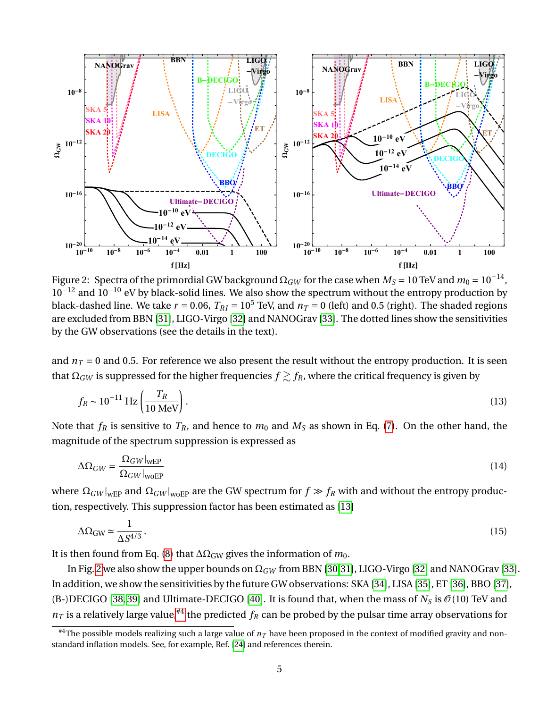

<span id="page-5-0"></span>Figure 2: Spectra of the primordial GW background  $\Omega_{GW}$  for the case when  $M_S = 10$  TeV and  $m_0 = 10^{-14}$ ,  $10^{-12}$  and  $10^{-10}$  eV by black-solid lines. We also show the spectrum without the entropy production by black-dashed line. We take  $r = 0.06$ ,  $T_{RI} = 10^5$  TeV, and  $n_T = 0$  (left) and 0.5 (right). The shaded regions are excluded from BBN [\[31\]](#page-10-1), LIGO-Virgo [\[32\]](#page-10-2) and NANOGrav [\[33\]](#page-10-3). The dotted lines show the sensitivities by the GW observations (see the details in the text).

and  $n<sub>T</sub> = 0$  and 0.5. For reference we also present the result without the entropy production. It is seen that  $\Omega_{GW}$  is suppressed for the higher frequencies  $f \gtrsim f_R$ , where the critical frequency is given by

$$
f_R \sim 10^{-11} \text{ Hz} \left( \frac{T_R}{10 \text{ MeV}} \right). \tag{13}
$$

Note that  $f_R$  is sensitive to  $T_R$ , and hence to  $m_0$  and  $M_S$  as shown in Eq. [\(7\)](#page-3-1). On the other hand, the magnitude of the spectrum suppression is expressed as

$$
\Delta\Omega_{GW} = \frac{\Omega_{GW}|_{wEP}}{\Omega_{GW}|_{woEP}}\tag{14}
$$

where  $\Omega_{GW}|_{wEP}$  and  $\Omega_{GW}|_{wEP}$  are the GW spectrum for  $f \gg f_R$  with and without the entropy production, respectively. This suppression factor has been estimated as [\[13\]](#page-8-7)

$$
\Delta\Omega_{\rm GW} \simeq \frac{1}{\Delta S^{4/3}}.\tag{15}
$$

It is then found from Eq. [\(8\)](#page-3-2) that  $\Delta\Omega_{GW}$  gives the information of  $m_0$ .

In Fig. [2](#page-5-0) we also show the upper bounds on Ω*GW* from BBN [\[30](#page-10-4)[,31\]](#page-10-1), LIGO-Virgo [\[32\]](#page-10-2) and NANOGrav [\[33\]](#page-10-3). In addition, we show the sensitivities by the future GW observations: SKA [\[34\]](#page-10-5), LISA [\[35\]](#page-10-6), ET [\[36\]](#page-10-7), BBO [\[37\]](#page-10-8), (B-)DECIGO [\[38,](#page-10-9) [39\]](#page-10-10) and Ultimate-DECIGO [\[40\]](#page-10-11). It is found that, when the mass of  $N_S$  is  $\mathcal{O}(10)$  TeV and  $n<sub>T</sub>$  is a relatively large value,<sup>[#4](#page-5-1)</sup> the predicted  $f<sub>R</sub>$  can be probed by the pulsar time array observations for

<span id="page-5-1"></span><sup>&</sup>lt;sup>#4</sup>The possible models realizing such a large value of  $n<sub>T</sub>$  have been proposed in the context of modified gravity and nonstandard inflation models. See, for example, Ref. [\[24\]](#page-9-0) and references therein.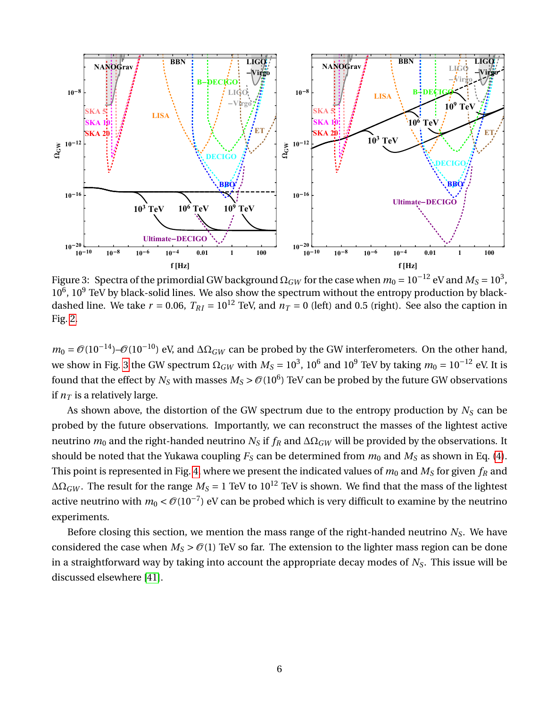

<span id="page-6-0"></span>Figure 3: Spectra of the primordial GW background  $\Omega_{GW}$  for the case when  $m_0 = 10^{-12}$  eV and  $M_S = 10^3$ ,  $10^6$ ,  $10^9$  TeV by black-solid lines. We also show the spectrum without the entropy production by blackdashed line. We take  $r = 0.06$ ,  $T_{RI} = 10^{12}$  TeV, and  $n_T = 0$  (left) and 0.5 (right). See also the caption in Fig. [2.](#page-5-0)

 $m_0 = \mathcal{O}(10^{-14}) - \mathcal{O}(10^{-10})$  eV, and  $\Delta\Omega_{GW}$  can be probed by the GW interferometers. On the other hand, we show in Fig. [3](#page-6-0) the GW spectrum  $\Omega_{GW}$  with  $M_S=10^3$ ,  $10^6$  and  $10^9$  TeV by taking  $m_0=10^{-12}$  eV. It is found that the effect by  $N_S$  with masses  $M_S$  >  $\mathcal{O}(10^6)$  TeV can be probed by the future GW observations if  $n<sub>T</sub>$  is a relatively large.

As shown above, the distortion of the GW spectrum due to the entropy production by *N<sup>S</sup>* can be probed by the future observations. Importantly, we can reconstruct the masses of the lightest active neutrino  $m_0$  and the right-handed neutrino  $N_S$  if  $f_R$  and  $\Delta\Omega_{GW}$  will be provided by the observations. It should be noted that the Yukawa coupling  $F_S$  can be determined from  $m_0$  and  $M_S$  as shown in Eq. [\(4\)](#page-2-0). This point is represented in Fig. [4,](#page-7-0) where we present the indicated values of  $m_0$  and  $M_S$  for given  $f_R$  and  $\Delta\Omega_{GW}$ . The result for the range  $M_S = 1$  TeV to  $10^{12}$  TeV is shown. We find that the mass of the lightest active neutrino with  $m_0 < \mathcal{O}(10^{-7})$  eV can be probed which is very difficult to examine by the neutrino experiments.

Before closing this section, we mention the mass range of the right-handed neutrino *NS*. We have considered the case when  $M_S > \mathcal{O}(1)$  TeV so far. The extension to the lighter mass region can be done in a straightforward way by taking into account the appropriate decay modes of *NS*. This issue will be discussed elsewhere [\[41\]](#page-10-12).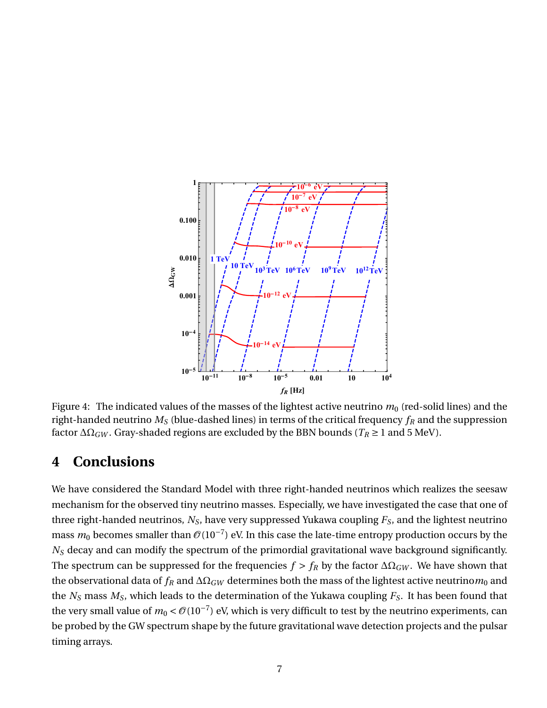

<span id="page-7-0"></span>Figure 4: The indicated values of the masses of the lightest active neutrino  $m_0$  (red-solid lines) and the right-handed neutrino *M<sup>S</sup>* (blue-dashed lines) in terms of the critical frequency *f<sup>R</sup>* and the suppression factor  $\Delta\Omega_{GW}$ . Gray-shaded regions are excluded by the BBN bounds ( $T_R \geq 1$  and 5 MeV).

# **4 Conclusions**

We have considered the Standard Model with three right-handed neutrinos which realizes the seesaw mechanism for the observed tiny neutrino masses. Especially, we have investigated the case that one of three right-handed neutrinos, *NS*, have very suppressed Yukawa coupling *FS*, and the lightest neutrino mass  $m_0$  becomes smaller than  $\mathcal{O}(10^{-7})$  eV. In this case the late-time entropy production occurs by the *N<sup>S</sup>* decay and can modify the spectrum of the primordial gravitational wave background significantly. The spectrum can be suppressed for the frequencies  $f > f_R$  by the factor  $\Delta\Omega_{GW}$ . We have shown that the observational data of  $f_R$  and  $\Delta\Omega_{GW}$  determines both the mass of the lightest active neutrino $m_0$  and the *N<sup>S</sup>* mass *MS*, which leads to the determination of the Yukawa coupling *FS*. It has been found that the very small value of  $m_0 < \mathcal{O}(10^{-7})$  eV, which is very difficult to test by the neutrino experiments, can be probed by the GW spectrum shape by the future gravitational wave detection projects and the pulsar timing arrays.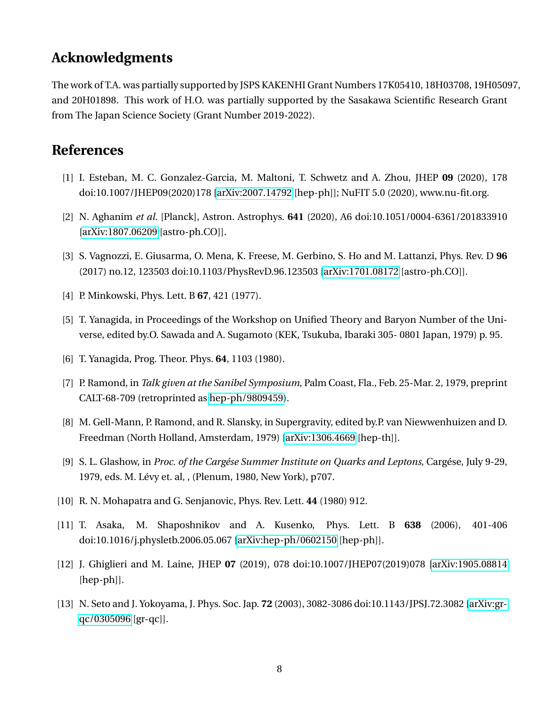# **Acknowledgments**

The work of T.A. was partially supported by JSPS KAKENHI Grant Numbers 17K05410, 18H03708, 19H05097, and 20H01898. This work of H.O. was partially supported by the Sasakawa Scientific Research Grant from The Japan Science Society (Grant Number 2019-2022).

## **References**

- <span id="page-8-0"></span>[1] I. Esteban, M. C. Gonzalez-Garcia, M. Maltoni, T. Schwetz and A. Zhou, JHEP **09** (2020), 178 doi:10.1007/JHEP09(2020)178 [\[arXiv:2007.14792](http://arxiv.org/abs/2007.14792) [hep-ph]]; NuFIT 5.0 (2020), www.nu-fit.org.
- <span id="page-8-1"></span>[2] N. Aghanim *et al.* [Planck], Astron. Astrophys. **641** (2020), A6 doi:10.1051/0004-6361/201833910 [\[arXiv:1807.06209](http://arxiv.org/abs/1807.06209) [astro-ph.CO]].
- <span id="page-8-2"></span>[3] S. Vagnozzi, E. Giusarma, O. Mena, K. Freese, M. Gerbino, S. Ho and M. Lattanzi, Phys. Rev. D **96** (2017) no.12, 123503 doi:10.1103/PhysRevD.96.123503 [\[arXiv:1701.08172](http://arxiv.org/abs/1701.08172) [astro-ph.CO]].
- <span id="page-8-3"></span>[4] P. Minkowski, Phys. Lett. B **67**, 421 (1977).
- [5] T. Yanagida, in Proceedings of the Workshop on Unified Theory and Baryon Number of the Universe, edited by.O. Sawada and A. Sugamoto (KEK, Tsukuba, Ibaraki 305- 0801 Japan, 1979) p. 95.
- [6] T. Yanagida, Prog. Theor. Phys. **64**, 1103 (1980).
- [7] P. Ramond, in *Talk given at the Sanibel Symposium*, Palm Coast, Fla., Feb. 25-Mar. 2, 1979, preprint CALT-68-709 (retroprinted as [hep-ph/9809459\)](http://arxiv.org/abs/hep-ph/9809459).
- [8] M. Gell-Mann, P. Ramond, and R. Slansky, in Supergravity, edited by.P. van Niewwenhuizen and D. Freedman (North Holland, Amsterdam, 1979) [\[arXiv:1306.4669](http://arxiv.org/abs/1306.4669) [hep-th]].
- [9] S. L. Glashow, in *Proc. of the Cargése Summer Institute on Quarks and Leptons*, Cargése, July 9-29, 1979, eds. M. Lévy et. al, , (Plenum, 1980, New York), p707.
- <span id="page-8-4"></span>[10] R. N. Mohapatra and G. Senjanovic, Phys. Rev. Lett. **44** (1980) 912.
- <span id="page-8-5"></span>[11] T. Asaka, M. Shaposhnikov and A. Kusenko, Phys. Lett. B **638** (2006), 401-406 doi:10.1016/j.physletb.2006.05.067 [\[arXiv:hep-ph/0602150](http://arxiv.org/abs/hep-ph/0602150) [hep-ph]].
- <span id="page-8-6"></span>[12] J. Ghiglieri and M. Laine, JHEP **07** (2019), 078 doi:10.1007/JHEP07(2019)078 [\[arXiv:1905.08814](http://arxiv.org/abs/1905.08814) [hep-ph]].
- <span id="page-8-7"></span>[13] N. Seto and J. Yokoyama, J. Phys. Soc. Jap. **72** (2003), 3082-3086 doi:10.1143/JPSJ.72.3082 [\[arXiv:gr](http://arxiv.org/abs/gr-qc/0305096)[qc/0305096](http://arxiv.org/abs/gr-qc/0305096) [gr-qc]].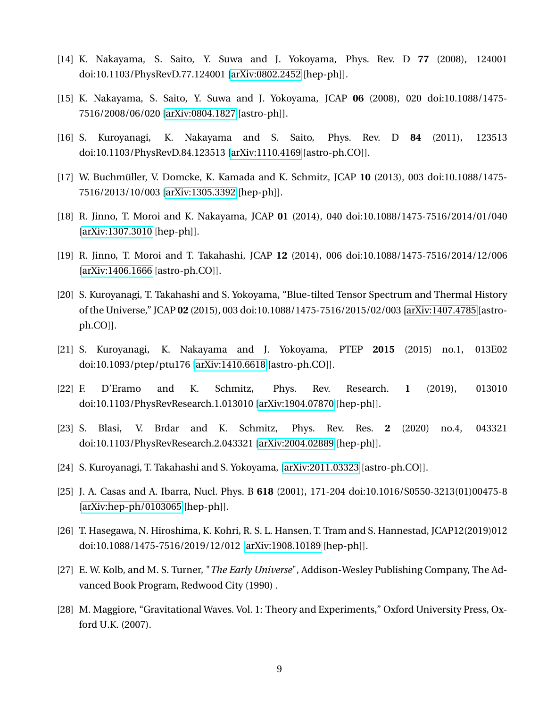- [14] K. Nakayama, S. Saito, Y. Suwa and J. Yokoyama, Phys. Rev. D **77** (2008), 124001 doi:10.1103/PhysRevD.77.124001 [\[arXiv:0802.2452](http://arxiv.org/abs/0802.2452) [hep-ph]].
- [15] K. Nakayama, S. Saito, Y. Suwa and J. Yokoyama, JCAP **06** (2008), 020 doi:10.1088/1475- 7516/2008/06/020 [\[arXiv:0804.1827](http://arxiv.org/abs/0804.1827) [astro-ph]].
- [16] S. Kuroyanagi, K. Nakayama and S. Saito, Phys. Rev. D **84** (2011), 123513 doi:10.1103/PhysRevD.84.123513 [\[arXiv:1110.4169](http://arxiv.org/abs/1110.4169) [astro-ph.CO]].
- [17] W. Buchmüller, V. Domcke, K. Kamada and K. Schmitz, JCAP **10** (2013), 003 doi:10.1088/1475- 7516/2013/10/003 [\[arXiv:1305.3392](http://arxiv.org/abs/1305.3392) [hep-ph]].
- [18] R. Jinno, T. Moroi and K. Nakayama, JCAP **01** (2014), 040 doi:10.1088/1475-7516/2014/01/040 [\[arXiv:1307.3010](http://arxiv.org/abs/1307.3010) [hep-ph]].
- [19] R. Jinno, T. Moroi and T. Takahashi, JCAP **12** (2014), 006 doi:10.1088/1475-7516/2014/12/006 [\[arXiv:1406.1666](http://arxiv.org/abs/1406.1666) [astro-ph.CO]].
- <span id="page-9-5"></span>[20] S. Kuroyanagi, T. Takahashi and S. Yokoyama, "Blue-tilted Tensor Spectrum and Thermal History of the Universe," JCAP **02** (2015), 003 doi:10.1088/1475-7516/2015/02/003 [\[arXiv:1407.4785](http://arxiv.org/abs/1407.4785) [astroph.CO]].
- [21] S. Kuroyanagi, K. Nakayama and J. Yokoyama, PTEP **2015** (2015) no.1, 013E02 doi:10.1093/ptep/ptu176 [\[arXiv:1410.6618](http://arxiv.org/abs/1410.6618) [astro-ph.CO]].
- [22] F. D'Eramo and K. Schmitz, Phys. Rev. Research. **1** (2019), 013010 doi:10.1103/PhysRevResearch.1.013010 [\[arXiv:1904.07870](http://arxiv.org/abs/1904.07870) [hep-ph]].
- [23] S. Blasi, V. Brdar and K. Schmitz, Phys. Rev. Res. **2** (2020) no.4, 043321 doi:10.1103/PhysRevResearch.2.043321 [\[arXiv:2004.02889](http://arxiv.org/abs/2004.02889) [hep-ph]].
- <span id="page-9-0"></span>[24] S. Kuroyanagi, T. Takahashi and S. Yokoyama, [\[arXiv:2011.03323](http://arxiv.org/abs/2011.03323) [astro-ph.CO]].
- <span id="page-9-1"></span>[25] J. A. Casas and A. Ibarra, Nucl. Phys. B **618** (2001), 171-204 doi:10.1016/S0550-3213(01)00475-8 [\[arXiv:hep-ph/0103065](http://arxiv.org/abs/hep-ph/0103065) [hep-ph]].
- <span id="page-9-2"></span>[26] T. Hasegawa, N. Hiroshima, K. Kohri, R. S. L. Hansen, T. Tram and S. Hannestad, JCAP12(2019)012 doi:10.1088/1475-7516/2019/12/012 [\[arXiv:1908.10189](http://arxiv.org/abs/1908.10189) [hep-ph]].
- <span id="page-9-3"></span>[27] E. W. Kolb, and M. S. Turner, "*The Early Universe*", Addison-Wesley Publishing Company, The Advanced Book Program, Redwood City (1990) .
- <span id="page-9-4"></span>[28] M. Maggiore, "Gravitational Waves. Vol. 1: Theory and Experiments," Oxford University Press, Oxford U.K. (2007).